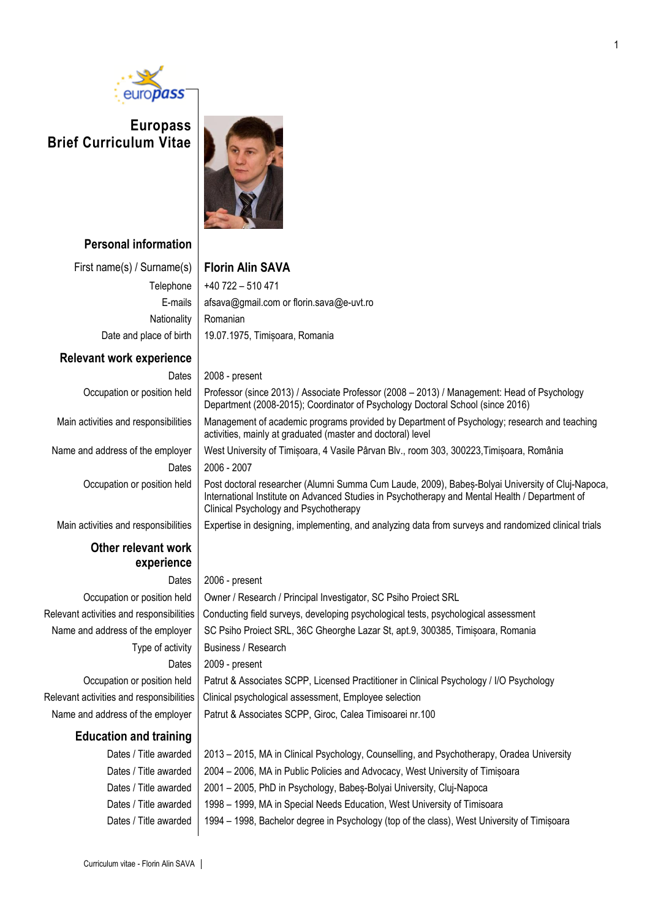

## **Europass Brief Curriculum Vitae**



**Personal information**

First name(s) / Surname(s) **Florin Alin SAVA** Nationality Romanian

#### **Relevant work experience**

Occupation or position held **P**<br>D Main activities and responsibilities | M Name and address of the employer  $\parallel$  W

Dates  $|20$ Occupation or position held  $\mathsf{P}$ 

Main activities and responsibilities  $\parallel$  E:

## **Other relevant work experience**

### **Education and training**

# Telephone  $+40722 - 510471$

E-mails | afsava@gmail.com or florin.sava@e-uvt.ro Date and place of birth | 19.07.1975, Timișoara, Romania

Dates | 2008 - present

| Professor (since 2013) / Associate Professor (2008 – 2013) / Management: Head of Psychology<br>Department (2008-2015); Coordinator of Psychology Doctoral School (since 2016)                                                               |  |
|---------------------------------------------------------------------------------------------------------------------------------------------------------------------------------------------------------------------------------------------|--|
| Management of academic programs provided by Department of Psychology; research and teaching<br>activities, mainly at graduated (master and doctoral) level                                                                                  |  |
| West University of Timisoara, 4 Vasile Pârvan Blv., room 303, 300223,Timisoara, România                                                                                                                                                     |  |
| 2006 - 2007                                                                                                                                                                                                                                 |  |
| Post doctoral researcher (Alumni Summa Cum Laude, 2009), Babes-Bolyai University of Cluj-Napoca,<br>International Institute on Advanced Studies in Psychotherapy and Mental Health / Department of<br>Clinical Psychology and Psychotherapy |  |
| Expertise in designing, implementing, and analyzing data from surveys and randomized clinical trials                                                                                                                                        |  |

#### Dates | 2006 - present

Occupation or position held | Owner / Research / Principal Investigator, SC Psiho Proiect SRL Relevant activities and responsibilities | Conducting field surveys, developing psychological tests, psychological assessment Name and address of the employer SC Psiho Proiect SRL, 36C Gheorghe Lazar St, apt.9, 300385, Timișoara, Romania Type of activity  $\vert$  Business / Research Dates | 2009 - present Occupation or position held | Patrut & Associates SCPP, Licensed Practitioner in Clinical Psychology / I/O Psychology Relevant activities and responsibilities  $|$  Clinical psychological assessment, Employee selection Name and address of the employer | Patrut & Associates SCPP, Giroc, Calea Timisoarei nr.100

Dates / Title awarded | 2013 – 2015, MA in Clinical Psychology, Counselling, and Psychotherapy, Oradea University Dates / Title awarded | 2004 – 2006, MA in Public Policies and Advocacy, West University of Timisoara Dates / Title awarded | 2001 – 2005, PhD in Psychology, Babeș-Bolyai University, Cluj-Napoca Dates / Title awarded | 1998 – 1999, MA in Special Needs Education, West University of Timisoara Dates / Title awarded | 1994 – 1998, Bachelor degree in Psychology (top of the class), West University of Timișoara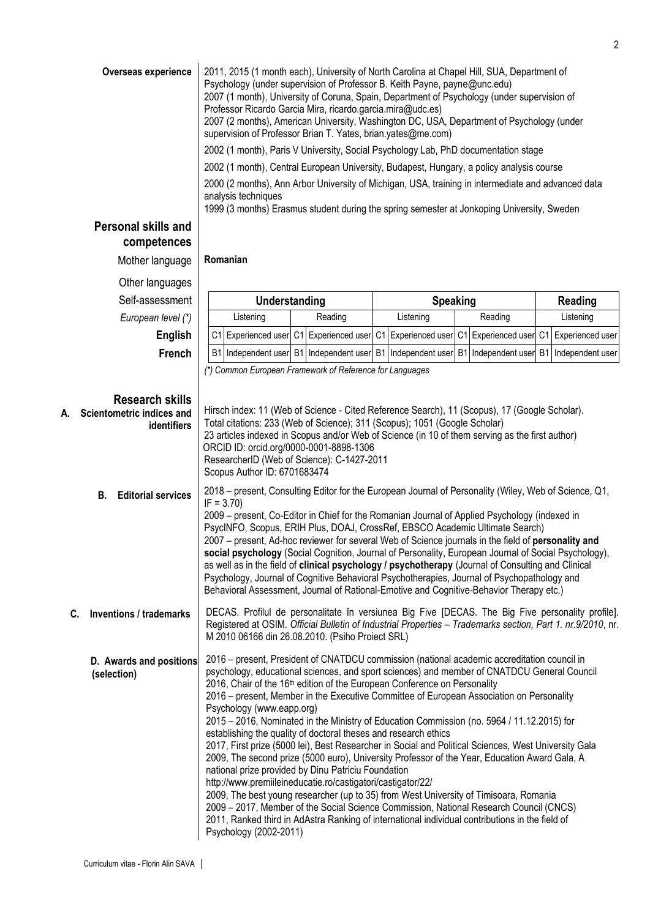|                                                                          | 2002 (1 month), Central European University, Budapest, Hungary, a policy analysis course<br>2000 (2 months), Ann Arbor University of Michigan, USA, training in intermediate and advanced data<br>analysis techniques<br>1999 (3 months) Erasmus student during the spring semester at Jonkoping University, Sweden                                                                                                                                                                                                                                                                                                                                                                                                                                                                                                  |         |                                                                              |                  |                     |  |
|--------------------------------------------------------------------------|----------------------------------------------------------------------------------------------------------------------------------------------------------------------------------------------------------------------------------------------------------------------------------------------------------------------------------------------------------------------------------------------------------------------------------------------------------------------------------------------------------------------------------------------------------------------------------------------------------------------------------------------------------------------------------------------------------------------------------------------------------------------------------------------------------------------|---------|------------------------------------------------------------------------------|------------------|---------------------|--|
| Personal skills and<br>competences                                       |                                                                                                                                                                                                                                                                                                                                                                                                                                                                                                                                                                                                                                                                                                                                                                                                                      |         |                                                                              |                  |                     |  |
| Mother language                                                          | Romanian                                                                                                                                                                                                                                                                                                                                                                                                                                                                                                                                                                                                                                                                                                                                                                                                             |         |                                                                              |                  |                     |  |
| Other languages                                                          |                                                                                                                                                                                                                                                                                                                                                                                                                                                                                                                                                                                                                                                                                                                                                                                                                      |         |                                                                              |                  |                     |  |
| Self-assessment                                                          | Understanding                                                                                                                                                                                                                                                                                                                                                                                                                                                                                                                                                                                                                                                                                                                                                                                                        |         | <b>Speaking</b>                                                              |                  | <b>Reading</b>      |  |
| European level (*)                                                       | Listening                                                                                                                                                                                                                                                                                                                                                                                                                                                                                                                                                                                                                                                                                                                                                                                                            | Reading | Listening                                                                    | Reading          | Listening           |  |
| <b>English</b>                                                           | C <sub>1</sub>                                                                                                                                                                                                                                                                                                                                                                                                                                                                                                                                                                                                                                                                                                                                                                                                       |         | Experienced user C1 Experienced user C1 Experienced user C1                  | Experienced user | C1 Experienced user |  |
| French                                                                   | <b>B1</b>                                                                                                                                                                                                                                                                                                                                                                                                                                                                                                                                                                                                                                                                                                                                                                                                            |         | Independent user B1 Independent user B1 Independent user B1 Independent user |                  | B1 Independent user |  |
| <b>Research skills</b><br>Scientometric indices and<br>А.<br>identifiers | Hirsch index: 11 (Web of Science - Cited Reference Search), 11 (Scopus), 17 (Google Scholar).<br>Total citations: 233 (Web of Science); 311 (Scopus); 1051 (Google Scholar)<br>23 articles indexed in Scopus and/or Web of Science (in 10 of them serving as the first author)<br>ORCID ID: orcid.org/0000-0001-8898-1306<br>ResearcherID (Web of Science): C-1427-2011<br>Scopus Author ID: 6701683474                                                                                                                                                                                                                                                                                                                                                                                                              |         |                                                                              |                  |                     |  |
| <b>B.</b> Editorial services                                             | 2018 – present, Consulting Editor for the European Journal of Personality (Wiley, Web of Science, Q1,<br>$IF = 3.70$<br>2009 - present, Co-Editor in Chief for the Romanian Journal of Applied Psychology (indexed in<br>PsycINFO, Scopus, ERIH Plus, DOAJ, CrossRef, EBSCO Academic Ultimate Search)<br>2007 – present, Ad-hoc reviewer for several Web of Science journals in the field of personality and<br>social psychology (Social Cognition, Journal of Personality, European Journal of Social Psychology),<br>as well as in the field of clinical psychology / psychotherapy (Journal of Consulting and Clinical<br>Psychology, Journal of Cognitive Behavioral Psychotherapies, Journal of Psychopathology and<br>Behavioral Assessment, Journal of Rational-Emotive and Cognitive-Behavior Therapy etc.) |         |                                                                              |                  |                     |  |
| <b>Inventions / trademarks</b><br>C.                                     | DECAS. Profilul de personalitate în versiunea Big Five [DECAS. The Big Five personality profile].<br>Registered at OSIM. Official Bulletin of Industrial Properties - Trademarks section, Part 1. nr.9/2010, nr.<br>M 2010 06166 din 26.08.2010. (Psiho Proiect SRL)                                                                                                                                                                                                                                                                                                                                                                                                                                                                                                                                                 |         |                                                                              |                  |                     |  |
| D. Awards and positions<br>(selection)                                   | 2016 – present, President of CNATDCU commission (national academic accreditation council in<br>psychology, educational sciences, and sport sciences) and member of CNATDCU General Council<br>2016, Chair of the 16th edition of the European Conference on Personality<br>2016 – present, Member in the Executive Committee of European Association on Personality<br>Psychology (www.eapp.org)<br>2015 - 2016, Nominated in the Ministry of Education Commission (no. 5964 / 11.12.2015) for                                                                                                                                                                                                                                                                                                                       |         |                                                                              |                  |                     |  |
|                                                                          | establishing the quality of doctoral theses and research ethics<br>2017, First prize (5000 lei), Best Researcher in Social and Political Sciences, West University Gala<br>2009, The second prize (5000 euro), University Professor of the Year, Education Award Gala, A<br>national prize provided by Dinu Patriciu Foundation<br>http://www.premiileineducatie.ro/castigatori/castigator/22/<br>2009, The best young researcher (up to 35) from West University of Timisoara, Romania<br>2009 - 2017, Member of the Social Science Commission, National Research Council (CNCS)<br>2011, Ranked third in AdAstra Ranking of international individual contributions in the field of<br>Psychology (2002-2011)                                                                                                       |         |                                                                              |                  |                     |  |
|                                                                          |                                                                                                                                                                                                                                                                                                                                                                                                                                                                                                                                                                                                                                                                                                                                                                                                                      |         |                                                                              |                  |                     |  |
| Curriculum vitae - Florin Alin SAVA                                      |                                                                                                                                                                                                                                                                                                                                                                                                                                                                                                                                                                                                                                                                                                                                                                                                                      |         |                                                                              |                  |                     |  |

**Overseas experience** 2011, 2015 (1 month each), University of North Carolina at Chapel Hill, SUA, Department of

Professor Ricardo Garcia Mira, ricardo.garcia.mira@udc.es)

supervision of Professor Brian T. Yates, brian.yates@me.com)

Psychology (under supervision of Professor B. Keith Payne, payne@unc.edu)

2007 (1 month), University of Coruna, Spain, Department of Psychology (under supervision of

2007 (2 months), American University, Washington DC, USA, Department of Psychology (under

2002 (1 month), Paris V University, Social Psychology Lab, PhD documentation stage